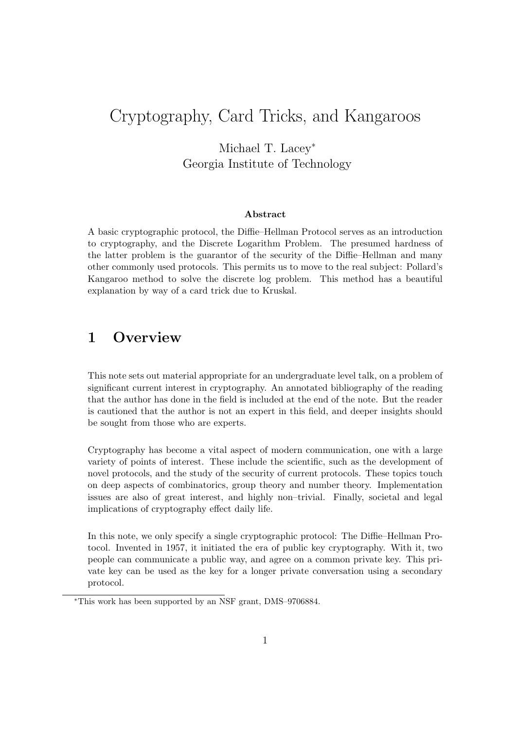# Cryptography, Card Tricks, and Kangaroos

Michael T. Lacey<sup>∗</sup> Georgia Institute of Technology

#### Abstract

A basic cryptographic protocol, the Diffie–Hellman Protocol serves as an introduction to cryptography, and the Discrete Logarithm Problem. The presumed hardness of the latter problem is the guarantor of the security of the Diffie–Hellman and many other commonly used protocols. This permits us to move to the real subject: Pollard's Kangaroo method to solve the discrete log problem. This method has a beautiful explanation by way of a card trick due to Kruskal.

# 1 Overview

This note sets out material appropriate for an undergraduate level talk, on a problem of significant current interest in cryptography. An annotated bibliography of the reading that the author has done in the field is included at the end of the note. But the reader is cautioned that the author is not an expert in this field, and deeper insights should be sought from those who are experts.

Cryptography has become a vital aspect of modern communication, one with a large variety of points of interest. These include the scientific, such as the development of novel protocols, and the study of the security of current protocols. These topics touch on deep aspects of combinatorics, group theory and number theory. Implementation issues are also of great interest, and highly non–trivial. Finally, societal and legal implications of cryptography effect daily life.

In this note, we only specify a single cryptographic protocol: The Diffie–Hellman Protocol. Invented in 1957, it initiated the era of public key cryptography. With it, two people can communicate a public way, and agree on a common private key. This private key can be used as the key for a longer private conversation using a secondary protocol.

<sup>∗</sup>This work has been supported by an NSF grant, DMS–9706884.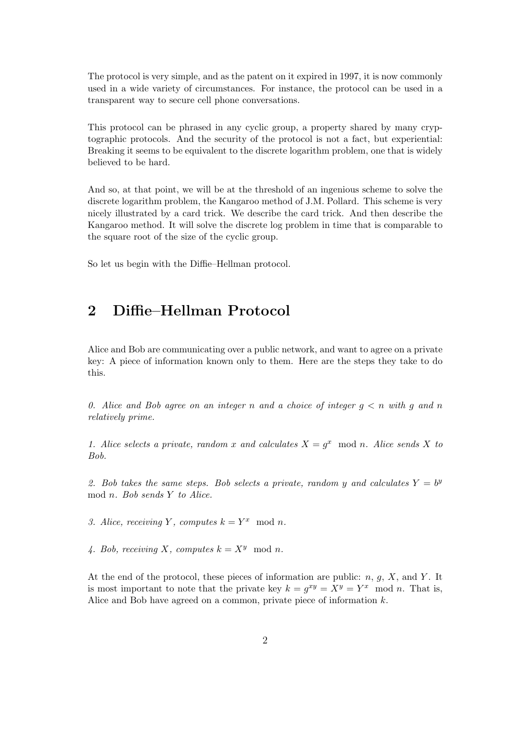The protocol is very simple, and as the patent on it expired in 1997, it is now commonly used in a wide variety of circumstances. For instance, the protocol can be used in a transparent way to secure cell phone conversations.

This protocol can be phrased in any cyclic group, a property shared by many cryptographic protocols. And the security of the protocol is not a fact, but experiential: Breaking it seems to be equivalent to the discrete logarithm problem, one that is widely believed to be hard.

And so, at that point, we will be at the threshold of an ingenious scheme to solve the discrete logarithm problem, the Kangaroo method of J.M. Pollard. This scheme is very nicely illustrated by a card trick. We describe the card trick. And then describe the Kangaroo method. It will solve the discrete log problem in time that is comparable to the square root of the size of the cyclic group.

So let us begin with the Diffie–Hellman protocol.

## 2 Diffie–Hellman Protocol

Alice and Bob are communicating over a public network, and want to agree on a private key: A piece of information known only to them. Here are the steps they take to do this.

0. Alice and Bob agree on an integer n and a choice of integer  $q \leq n$  with q and n relatively prime.

1. Alice selects a private, random x and calculates  $X = g^x \mod n$ . Alice sends X to Bob.

2. Bob takes the same steps. Bob selects a private, random y and calculates  $Y = b^y$ mod n. Bob sends Y to Alice.

3. Alice, receiving Y, computes  $k = Y^x \mod n$ .

4. Bob, receiving X, computes  $k = X^y \mod n$ .

At the end of the protocol, these pieces of information are public:  $n, q, X$ , and Y. It is most important to note that the private key  $k = g^{xy} = X^y = Y^x \mod n$ . That is, Alice and Bob have agreed on a common, private piece of information k.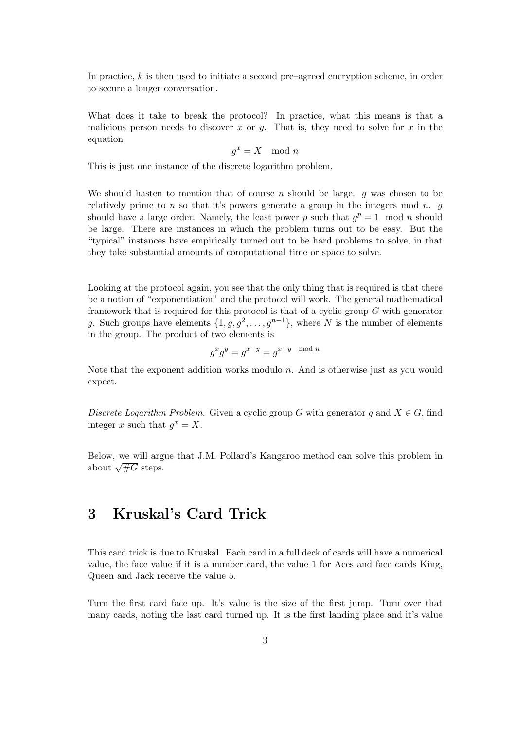In practice,  $k$  is then used to initiate a second pre–agreed encryption scheme, in order to secure a longer conversation.

What does it take to break the protocol? In practice, what this means is that a malicious person needs to discover x or y. That is, they need to solve for  $x$  in the equation

$$
g^x = X \mod n
$$

This is just one instance of the discrete logarithm problem.

We should hasten to mention that of course  $n$  should be large.  $q$  was chosen to be relatively prime to n so that it's powers generate a group in the integers mod n.  $q$ should have a large order. Namely, the least power p such that  $g^p = 1 \mod n$  should be large. There are instances in which the problem turns out to be easy. But the "typical" instances have empirically turned out to be hard problems to solve, in that they take substantial amounts of computational time or space to solve.

Looking at the protocol again, you see that the only thing that is required is that there be a notion of "exponentiation" and the protocol will work. The general mathematical framework that is required for this protocol is that of a cyclic group  $G$  with generator g. Such groups have elements  $\{1, g, g^2, \ldots, g^{n-1}\},$  where N is the number of elements in the group. The product of two elements is

$$
g^x g^y = g^{x+y} = g^{x+y \mod n}
$$

Note that the exponent addition works modulo  $n$ . And is otherwise just as you would expect.

Discrete Logarithm Problem. Given a cyclic group G with generator q and  $X \in G$ , find integer x such that  $g^x = X$ .

Below, we will argue that J.M. Pollard's Kangaroo method can solve this problem in below, we will argue<br>about  $\sqrt{\#G}$  steps.

## 3 Kruskal's Card Trick

This card trick is due to Kruskal. Each card in a full deck of cards will have a numerical value, the face value if it is a number card, the value 1 for Aces and face cards King, Queen and Jack receive the value 5.

Turn the first card face up. It's value is the size of the first jump. Turn over that many cards, noting the last card turned up. It is the first landing place and it's value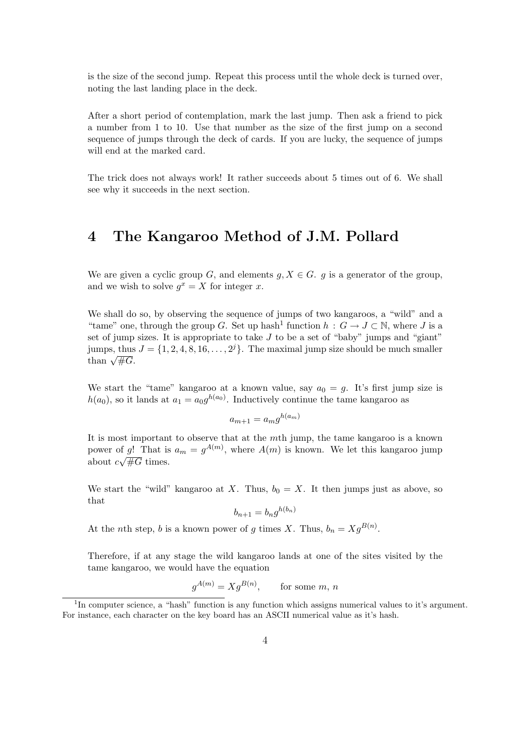is the size of the second jump. Repeat this process until the whole deck is turned over, noting the last landing place in the deck.

After a short period of contemplation, mark the last jump. Then ask a friend to pick a number from 1 to 10. Use that number as the size of the first jump on a second sequence of jumps through the deck of cards. If you are lucky, the sequence of jumps will end at the marked card.

The trick does not always work! It rather succeeds about 5 times out of 6. We shall see why it succeeds in the next section.

#### 4 The Kangaroo Method of J.M. Pollard

We are given a cyclic group G, and elements  $g, X \in G$ . g is a generator of the group, and we wish to solve  $g^x = X$  for integer x.

We shall do so, by observing the sequence of jumps of two kangaroos, a "wild" and a "tame" one, through the group G. Set up hash<sup>1</sup> function  $h : G \to J \subset \mathbb{N}$ , where J is a set of jump sizes. It is appropriate to take  $J$  to be a set of "baby" jumps and "giant" jumps, thus  $J = \{1, 2, 4, 8, 16, \ldots, 2^{j}\}\.$  The maximal jump size should be much smaller  $_{\rm 30mmps,~cmus}^{\rm 50mmps,~cmus}$ 

We start the "tame" kangaroo at a known value, say  $a_0 = g$ . It's first jump size is  $h(a_0)$ , so it lands at  $a_1 = a_0 g^{h(a_0)}$ . Inductively continue the tame kangaroo as

$$
a_{m+1} = a_m g^{h(a_m)}
$$

It is most important to observe that at the mth jump, the tame kangaroo is a known power of g! That is  $a_m = g^{A(m)}$ , where  $A(m)$  is known. We let this kangaroo jump about  $c\sqrt{\#G}$  times.

We start the "wild" kangaroo at X. Thus,  $b_0 = X$ . It then jumps just as above, so that

$$
b_{n+1} = b_n g^{h(b_n)}
$$

At the *n*th step, *b* is a known power of *g* times *X*. Thus,  $b_n = Xg^{B(n)}$ .

Therefore, if at any stage the wild kangaroo lands at one of the sites visited by the tame kangaroo, we would have the equation

$$
g^{A(m)} = Xg^{B(n)}, \qquad \text{for some } m, n
$$

<sup>&</sup>lt;sup>1</sup>In computer science, a "hash" function is any function which assigns numerical values to it's argument. For instance, each character on the key board has an ASCII numerical value as it's hash.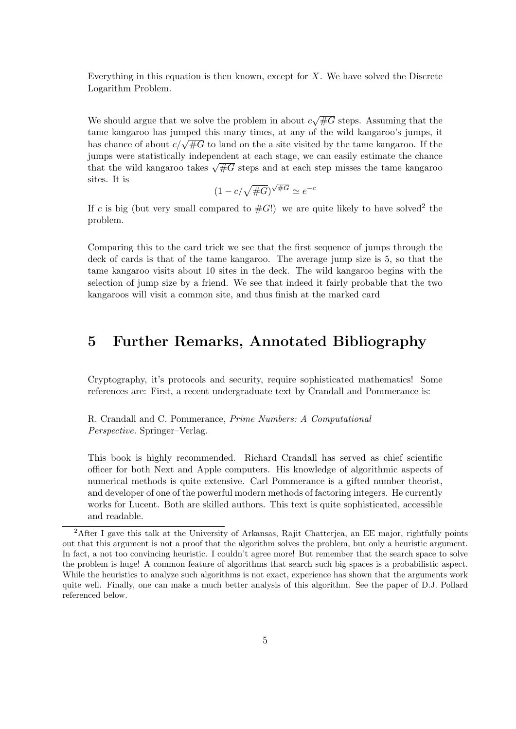Everything in this equation is then known, except for  $X$ . We have solved the Discrete Logarithm Problem.

We should argue that we solve the problem in about  $c$ √  $\overline{\#G}$  steps. Assuming that the tame kangaroo has jumped this many times, at any of the wild kangaroo's jumps, it has chance of about  $c/\sqrt{\#G}$  to land on the a site visited by the tame kangaroo. If the jumps were statistically independent at each stage, we can easily estimate the chance fully that the wild kangaroo takes  $\sqrt{\#G}$  steps and at each step misses the tame kangaroo takes  $\sqrt{\#G}$  steps and at each step misses the tame kangaroo sites. It is √

$$
(1 - c/\sqrt{\#G})^{\sqrt{\#G}} \simeq e^{-c}
$$

If c is big (but very small compared to  $#G!$ ) we are quite likely to have solved<sup>2</sup> the problem.

Comparing this to the card trick we see that the first sequence of jumps through the deck of cards is that of the tame kangaroo. The average jump size is 5, so that the tame kangaroo visits about 10 sites in the deck. The wild kangaroo begins with the selection of jump size by a friend. We see that indeed it fairly probable that the two kangaroos will visit a common site, and thus finish at the marked card

#### 5 Further Remarks, Annotated Bibliography

Cryptography, it's protocols and security, require sophisticated mathematics! Some references are: First, a recent undergraduate text by Crandall and Pommerance is:

R. Crandall and C. Pommerance, Prime Numbers: A Computational Perspective. Springer–Verlag.

This book is highly recommended. Richard Crandall has served as chief scientific officer for both Next and Apple computers. His knowledge of algorithmic aspects of numerical methods is quite extensive. Carl Pommerance is a gifted number theorist, and developer of one of the powerful modern methods of factoring integers. He currently works for Lucent. Both are skilled authors. This text is quite sophisticated, accessible and readable.

<sup>2</sup>After I gave this talk at the University of Arkansas, Rajit Chatterjea, an EE major, rightfully points out that this argument is not a proof that the algorithm solves the problem, but only a heuristic argument. In fact, a not too convincing heuristic. I couldn't agree more! But remember that the search space to solve the problem is huge! A common feature of algorithms that search such big spaces is a probabilistic aspect. While the heuristics to analyze such algorithms is not exact, experience has shown that the arguments work quite well. Finally, one can make a much better analysis of this algorithm. See the paper of D.J. Pollard referenced below.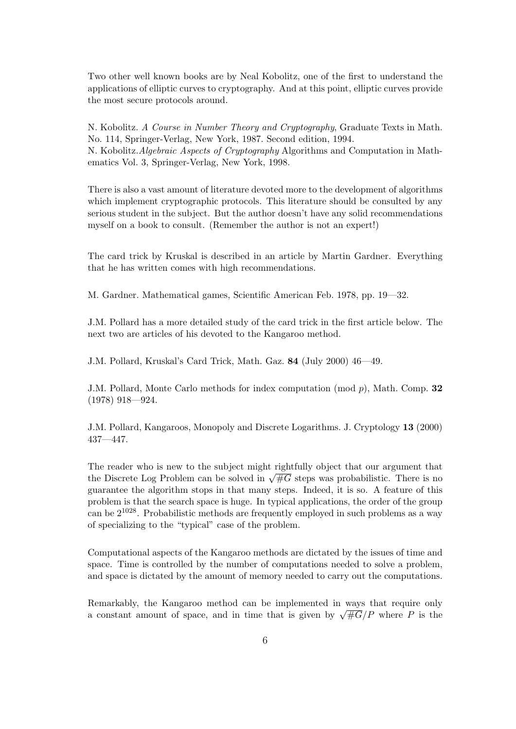Two other well known books are by Neal Kobolitz, one of the first to understand the applications of elliptic curves to cryptography. And at this point, elliptic curves provide the most secure protocols around.

N. Kobolitz. A Course in Number Theory and Cryptography, Graduate Texts in Math. No. 114, Springer-Verlag, New York, 1987. Second edition, 1994. N. Kobolitz.Algebraic Aspects of Cryptography Algorithms and Computation in Mathematics Vol. 3, Springer-Verlag, New York, 1998.

There is also a vast amount of literature devoted more to the development of algorithms which implement cryptographic protocols. This literature should be consulted by any serious student in the subject. But the author doesn't have any solid recommendations myself on a book to consult. (Remember the author is not an expert!)

The card trick by Kruskal is described in an article by Martin Gardner. Everything that he has written comes with high recommendations.

M. Gardner. Mathematical games, Scientific American Feb. 1978, pp. 19—32.

J.M. Pollard has a more detailed study of the card trick in the first article below. The next two are articles of his devoted to the Kangaroo method.

J.M. Pollard, Kruskal's Card Trick, Math. Gaz. 84 (July 2000) 46—49.

J.M. Pollard, Monte Carlo methods for index computation (mod p), Math. Comp. 32 (1978) 918—924.

J.M. Pollard, Kangaroos, Monopoly and Discrete Logarithms. J. Cryptology 13 (2000) 437—447.

The reader who is new to the subject might rightfully object that our argument that The reader who is new to the subject might rightfully object that our argument that the Discrete Log Problem can be solved in  $\sqrt{\#G}$  steps was probabilistic. There is no guarantee the algorithm stops in that many steps. Indeed, it is so. A feature of this problem is that the search space is huge. In typical applications, the order of the group can be 21028. Probabilistic methods are frequently employed in such problems as a way of specializing to the "typical" case of the problem.

Computational aspects of the Kangaroo methods are dictated by the issues of time and space. Time is controlled by the number of computations needed to solve a problem, and space is dictated by the amount of memory needed to carry out the computations.

Remarkably, the Kangaroo method can be implemented in ways that require only A constant amount of space, and in time that is given by  $\sqrt{\#G}/P$  where P is the